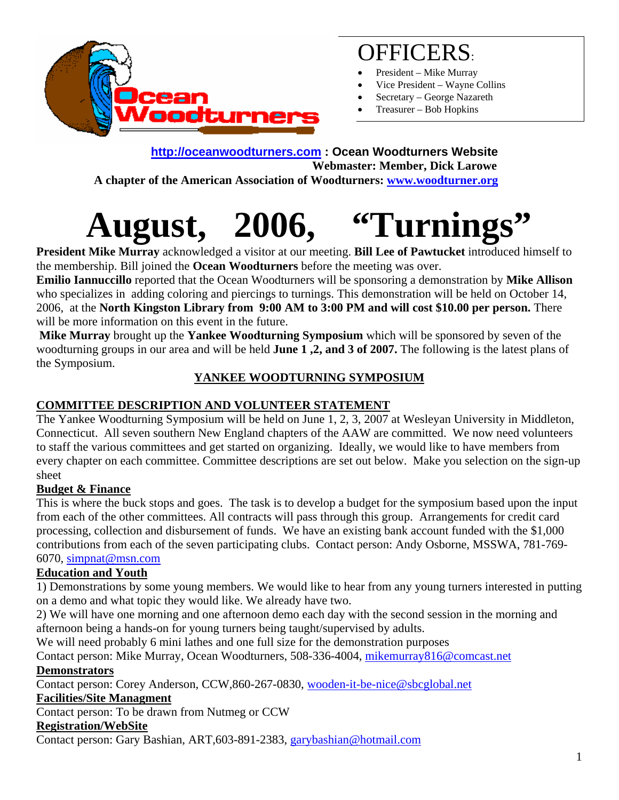

### OFFICERS:

- President Mike Murray
- Vice President Wayne Collins
- Secretary George Nazareth
- Treasurer Bob Hopkins

### **[http://oceanwoodturners.com](http://oceanwoodturners.com/) : Ocean Woodturners Website Webmaster: Member, Dick Larowe**

 **A chapter of the American Association of Woodturners: [www.woodturner.org](http://www.woodturner.org/)** 

# **August, 2006, "Turnings"**

**President Mike Murray** acknowledged a visitor at our meeting. **Bill Lee of Pawtucket** introduced himself to the membership. Bill joined the **Ocean Woodturners** before the meeting was over.

**Emilio Iannuccillo** reported that the Ocean Woodturners will be sponsoring a demonstration by **Mike Allison** who specializes in adding coloring and piercings to turnings. This demonstration will be held on October 14, 2006, at the **North Kingston Library from 9:00 AM to 3:00 PM and will cost \$10.00 per person.** There will be more information on this event in the future.

**Mike Murray** brought up the **Yankee Woodturning Symposium** which will be sponsored by seven of the woodturning groups in our area and will be held **June 1 ,2, and 3 of 2007.** The following is the latest plans of the Symposium.

#### **YANKEE WOODTURNING SYMPOSIUM**

#### **COMMITTEE DESCRIPTION AND VOLUNTEER STATEMENT**

The Yankee Woodturning Symposium will be held on June 1, 2, 3, 2007 at Wesleyan University in Middleton, Connecticut. All seven southern New England chapters of the AAW are committed. We now need volunteers to staff the various committees and get started on organizing. Ideally, we would like to have members from every chapter on each committee. Committee descriptions are set out below. Make you selection on the sign-up sheet

#### **Budget & Finance**

This is where the buck stops and goes. The task is to develop a budget for the symposium based upon the input from each of the other committees. All contracts will pass through this group. Arrangements for credit card processing, collection and disbursement of funds. We have an existing bank account funded with the \$1,000 contributions from each of the seven participating clubs. Contact person: Andy Osborne, MSSWA, 781-769- 6070, [simpnat@msn.com](mailto:simpnat@msn.com)

#### **Education and Youth**

1) Demonstrations by some young members. We would like to hear from any young turners interested in putting on a demo and what topic they would like. We already have two.

2) We will have one morning and one afternoon demo each day with the second session in the morning and afternoon being a hands-on for young turners being taught/supervised by adults.

We will need probably 6 mini lathes and one full size for the demonstration purposes

Contact person: Mike Murray, Ocean Woodturners, 508-336-4004, [mikemurray816@comcast.net](mailto:mikemurray816@comcast.net)

#### **Demonstrators**

Contact person: Corey Anderson, CCW,860-267-0830, [wooden-it-be-nice@sbcglobal.net](mailto:wooden-it-be-nice@sbcglobal.net)

#### **Facilities/Site Managment**

Contact person: To be drawn from Nutmeg or CCW

#### **Registration/WebSite**

Contact person: Gary Bashian, ART,603-891-2383, [garybashian@hotmail.com](mailto:garybashian@hotmail.com)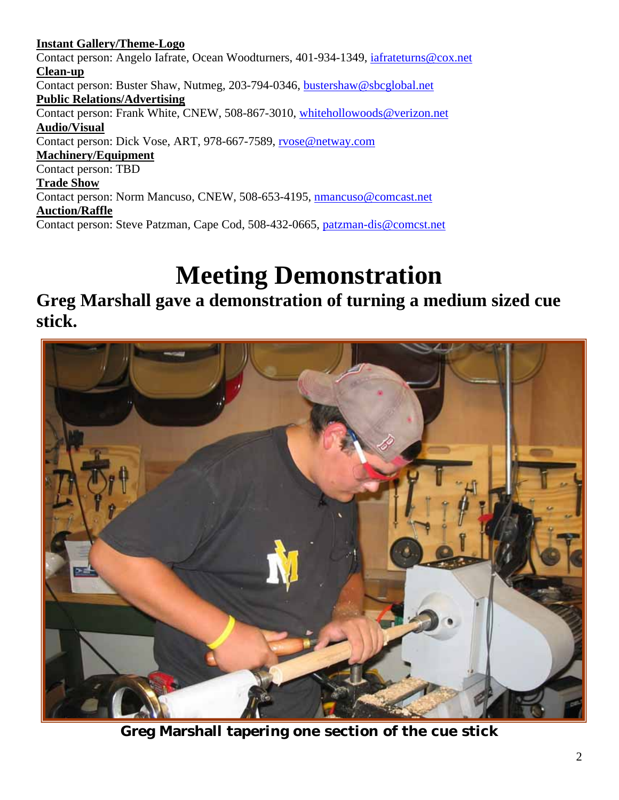**Instant Gallery/Theme-Logo** Contact person: Angelo Iafrate, Ocean Woodturners, 401-934-1349, [iafrateturns@cox.net](mailto:iafrateturns@cox.net) **Clean-up** Contact person: Buster Shaw, Nutmeg, 203-794-0346, [bustershaw@sbcglobal.net](mailto:bustershaw@sbcglobal.net) **Public Relations/Advertising** Contact person: Frank White, CNEW, 508-867-3010, [whitehollowoods@verizon.net](mailto:whitehollowoods@verizon.net) **Audio/Visual** Contact person: Dick Vose, ART, 978-667-7589, [rvose@netway.com](mailto:rvose@netway.com) **Machinery/Equipment** Contact person: TBD **Trade Show** Contact person: Norm Mancuso, CNEW, 508-653-4195, [nmancuso@comcast.net](mailto:nmancuso@comcast.net) **Auction/Raffle** Contact person: Steve Patzman, Cape Cod, 508-432-0665, [patzman-dis@comcst.net](mailto:patzman-dis@comcst.net)

# **Meeting Demonstration**

### **Greg Marshall gave a demonstration of turning a medium sized cue stick.**



**Greg Marshall tapering one section of the cue stick**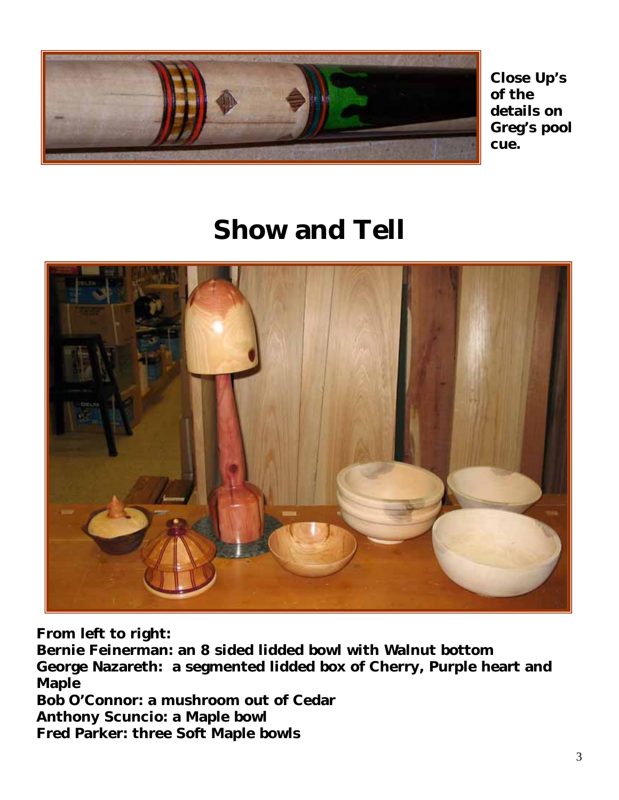

**l Greg's poo cue. Close Up's of the details on**

## **Show and Tell**



**From left to right:** 

**George Nazareth: a segmented lidded box of Cherry, Purple heart and Bernie Feinerman: an 8 sided lidded bowl with Walnut bottom Maple** 

**r Bob O'Connor: a mushroom out of Ceda red Parker: three Soft Maple bowls FAnthony Scuncio: a Maple bowl**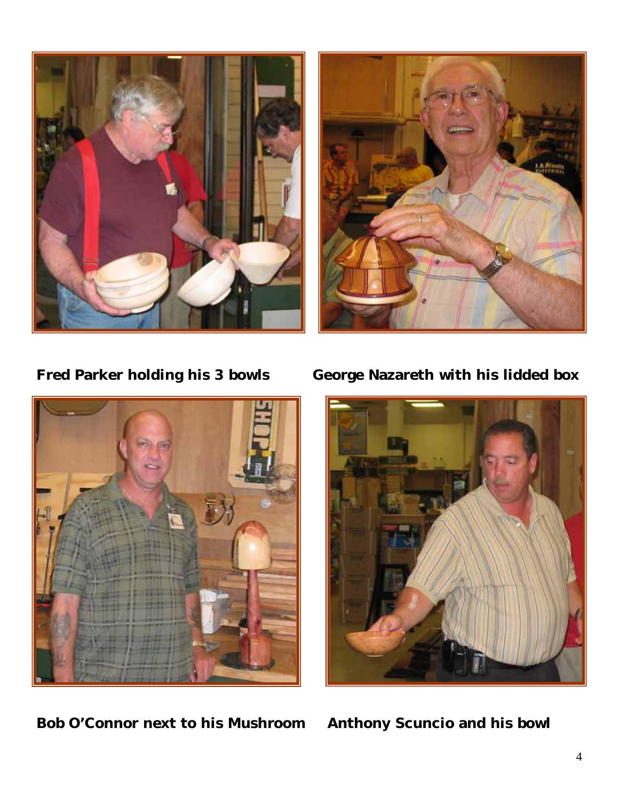





**Bob O'Connor next to his Mushroom Anthony Scuncio and his bowl** 

**Fred Parker holding his 3 bowls George Nazareth with his lidded box**